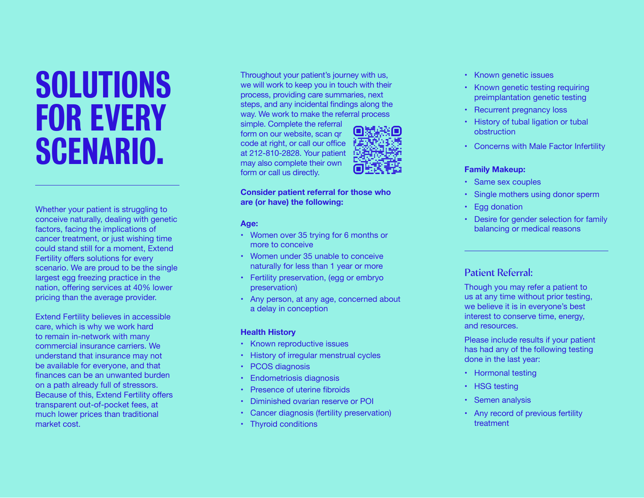## SOLUTIONS FOR EVERY SCENARIO.

Whether your patient is struggling to conceive naturally, dealing with genetic factors, facing the implications of cancer treatment, or just wishing time could stand still for a moment, Extend Fertility offers solutions for every scenario. We are proud to be the single largest egg freezing practice in the nation, offering services at 40% lower pricing than the average provider.

Extend Fertility believes in accessible care, which is why we work hard to remain in-network with many commercial insurance carriers. We understand that insurance may not be available for everyone, and that finances can be an unwanted burden on a path already full of stressors. Because of this, Extend Fertility offers transparent out-of-pocket fees, at much lower prices than traditional market cost.

Throughout your patient's journey with us, we will work to keep you in touch with their process, providing care summaries, next steps, and any incidental findings along the way. We work to make the referral process

simple. Complete the referral form on our website, scan qr code at right, or call our office at 212-810-2828. Your patient may also complete their own form or call us directly.



#### **Consider patient referral for those who are (or have) the following:**

**Age:**

- Women over 35 trying for 6 months or more to conceive
- Women under 35 unable to conceive naturally for less than 1 year or more
- Fertility preservation, (egg or embryo preservation)
- Any person, at any age, concerned about a delay in conception

#### **Health History**

- Known reproductive issues
- History of irregular menstrual cycles
- PCOS diagnosis
- Endometriosis diagnosis
- Presence of uterine fibroids
- Diminished ovarian reserve or POI
- Cancer diagnosis (fertility preservation)
- Thyroid conditions
- Known genetic issues
- Known genetic testing requiring preimplantation genetic testing
- Recurrent pregnancy loss
- History of tubal ligation or tubal obstruction
- Concerns with Male Factor Infertility

#### **Family Makeup:**

- Same sex couples
- Single mothers using donor sperm
- Egg donation
- Desire for gender selection for family balancing or medical reasons

### Patient Referral:

Though you may refer a patient to us at any time without prior testing, we believe it is in everyone's best interest to conserve time, energy, and resources.

Please include results if your patient has had any of the following testing done in the last year:

- Hormonal testing
- HSG testing
- Semen analysis
- Any record of previous fertility treatment